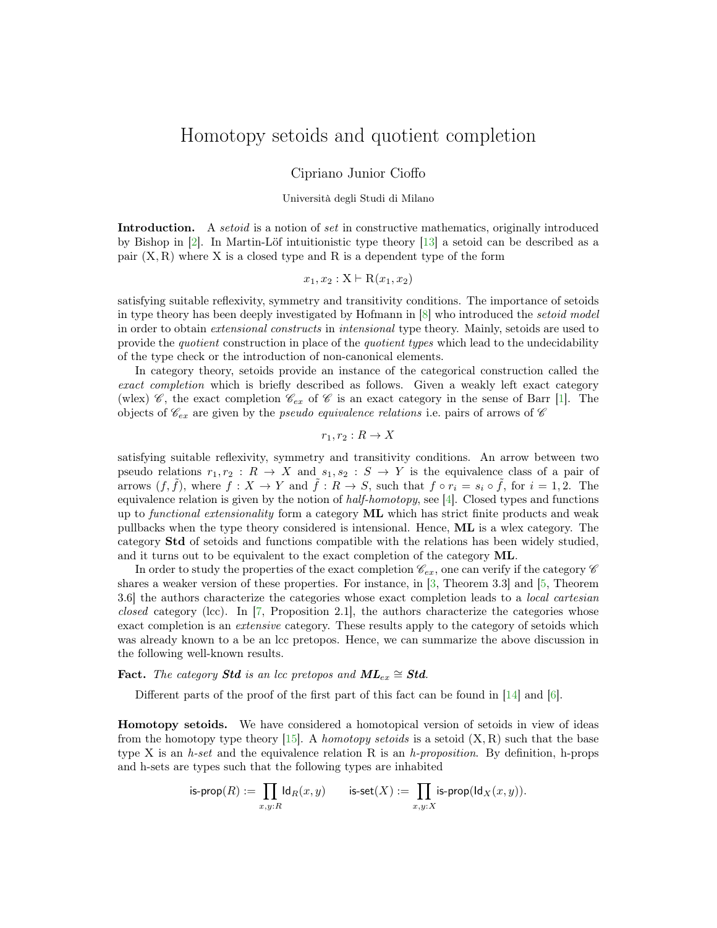## Homotopy setoids and quotient completion

Cipriano Junior Cioffo

Università degli Studi di Milano

Introduction. A setoid is a notion of set in constructive mathematics, originally introduced by Bishop in [\[2\]](#page-2-0). In Martin-Löf intuitionistic type theory [\[13\]](#page-2-1) a setoid can be described as a pair  $(X, R)$  where X is a closed type and R is a dependent type of the form

$$
x_1, x_2 : \mathbf{X} \vdash \mathbf{R}(x_1, x_2)
$$

satisfying suitable reflexivity, symmetry and transitivity conditions. The importance of setoids in type theory has been deeply investigated by Hofmann in [\[8\]](#page-2-2) who introduced the setoid model in order to obtain extensional constructs in intensional type theory. Mainly, setoids are used to provide the quotient construction in place of the quotient types which lead to the undecidability of the type check or the introduction of non-canonical elements.

In category theory, setoids provide an instance of the categorical construction called the exact completion which is briefly described as follows. Given a weakly left exact category (wlex)  $\mathscr{C}$ , the exact completion  $\mathscr{C}_{ex}$  of  $\mathscr{C}$  is an exact category in the sense of Barr [\[1\]](#page-2-3). The objects of  $\mathscr{C}_{ex}$  are given by the *pseudo equivalence relations* i.e. pairs of arrows of  $\mathscr{C}$ 

$$
r_1, r_2: R \to X
$$

satisfying suitable reflexivity, symmetry and transitivity conditions. An arrow between two pseudo relations  $r_1, r_2 : R \to X$  and  $s_1, s_2 : S \to Y$  is the equivalence class of a pair of arrows  $(f, \tilde{f})$ , where  $f: X \to Y$  and  $\tilde{f}: R \to S$ , such that  $f \circ r_i = s_i \circ \tilde{f}$ , for  $i = 1, 2$ . The equivalence relation is given by the notion of *half-homotopy*, see [\[4\]](#page-2-4). Closed types and functions up to functional extensionality form a category  $ML$  which has strict finite products and weak pullbacks when the type theory considered is intensional. Hence, ML is a wlex category. The category Std of setoids and functions compatible with the relations has been widely studied, and it turns out to be equivalent to the exact completion of the category ML.

In order to study the properties of the exact completion  $\mathscr{C}_{ex}$ , one can verify if the category  $\mathscr C$ shares a weaker version of these properties. For instance, in [\[3,](#page-2-5) Theorem 3.3] and [\[5,](#page-2-6) Theorem 3.6] the authors characterize the categories whose exact completion leads to a local cartesian closed category (lcc). In  $[7,$  Proposition 2.1], the authors characterize the categories whose exact completion is an *extensive* category. These results apply to the category of setoids which was already known to a be an lcc pretopos. Hence, we can summarize the above discussion in the following well-known results.

**Fact.** The category **Std** is an lcc pretopos and  $ML_{ex} \cong Std$ .

Different parts of the proof of the first part of this fact can be found in [\[14\]](#page-2-8) and [\[6\]](#page-2-9).

Homotopy setoids. We have considered a homotopical version of setoids in view of ideas from the homotopy type theory [\[15\]](#page-2-10). A homotopy setoids is a setoid  $(X, R)$  such that the base type X is an *h-set* and the equivalence relation R is an *h-proposition*. By definition, h-props and h-sets are types such that the following types are inhabited

$$
\mathsf{is}\text{-}\mathsf{prop}(R) := \prod_{x,y:R} \mathsf{Id}_R(x,y) \qquad \mathsf{is}\text{-}\mathsf{set}(X) := \prod_{x,y:X} \mathsf{is}\text{-}\mathsf{prop}(\mathsf{Id}_X(x,y)).
$$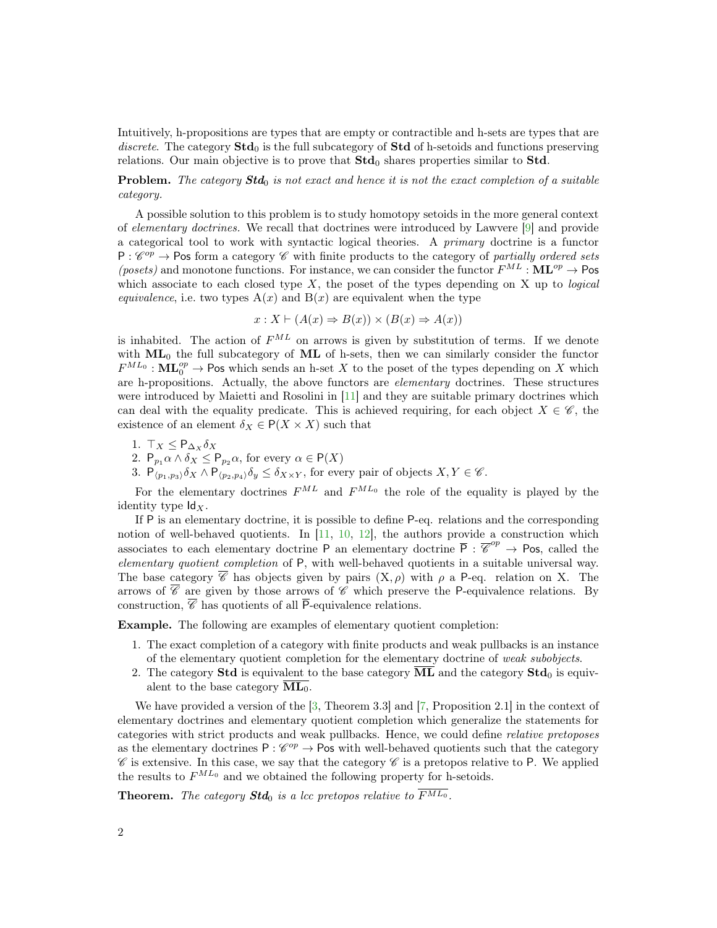Intuitively, h-propositions are types that are empty or contractible and h-sets are types that are discrete. The category  $\text{Std}_0$  is the full subcategory of  $\text{Std}_0$  of h-setoids and functions preserving relations. Our main objective is to prove that  $\text{Std}_0$  shares properties similar to  $\text{Std}$ .

**Problem.** The category  $Std_0$  is not exact and hence it is not the exact completion of a suitable category.

A possible solution to this problem is to study homotopy setoids in the more general context of elementary doctrines. We recall that doctrines were introduced by Lawvere [\[9\]](#page-2-11) and provide a categorical tool to work with syntactic logical theories. A primary doctrine is a functor  $P: \mathscr{C}^{op} \to \mathsf{Pos}$  form a category  $\mathscr C$  with finite products to the category of partially ordered sets (posets) and monotone functions. For instance, we can consider the functor  $F^{ML}$  :  $\textbf{ML}^{op} \to \textbf{Pos}$ which associate to each closed type  $X$ , the poset of the types depending on  $X$  up to *logical* equivalence, i.e. two types  $A(x)$  and  $B(x)$  are equivalent when the type

$$
x: X \vdash (A(x) \Rightarrow B(x)) \times (B(x) \Rightarrow A(x))
$$

is inhabited. The action of  $F^{ML}$  on arrows is given by substitution of terms. If we denote with  $ML_0$  the full subcategory of  $ML$  of h-sets, then we can similarly consider the functor  $F^{ML_0}$ :  $\mathbf{ML}_0^{op}$   $\rightarrow$  Pos which sends an h-set X to the poset of the types depending on X which are h-propositions. Actually, the above functors are elementary doctrines. These structures were introduced by Maietti and Rosolini in [\[11\]](#page-2-12) and they are suitable primary doctrines which can deal with the equality predicate. This is achieved requiring, for each object  $X \in \mathscr{C}$ , the existence of an element  $\delta_X \in P(X \times X)$  such that

- 1.  $\sqcap_X \leq \mathsf{P}_{\Delta_X} \delta_X$
- 2.  $P_{p_1} \alpha \wedge \delta_X \leq P_{p_2} \alpha$ , for every  $\alpha \in P(X)$
- 3.  $P^{F_1}_{(p_1,p_3)} \delta_X \wedge P^{F_2}_{(p_2,p_4)} \delta_y \leq \delta_{X\times Y}$ , for every pair of objects  $X, Y \in \mathscr{C}$ .

For the elementary doctrines  $F^{ML}$  and  $F^{ML_0}$  the role of the equality is played by the identity type  $\mathsf{Id}_X$ .

If P is an elementary doctrine, it is possible to define P-eq. relations and the corresponding notion of well-behaved quotients. In [\[11,](#page-2-12) [10,](#page-2-13) [12\]](#page-2-14), the authors provide a construction which associates to each elementary doctrine P an elementary doctrine  $\overline{P}$  :  $\overline{\mathscr{C}}^{op} \to \text{Pos}$ , called the elementary quotient completion of P, with well-behaved quotients in a suitable universal way. The base category  $\overline{\mathscr{C}}$  has objects given by pairs  $(X, \rho)$  with  $\rho$  a P-eq. relation on X. The arrows of  $\overline{\mathscr{C}}$  are given by those arrows of  $\mathscr{C}$  which preserve the P-equivalence relations. By construction,  $\overline{\mathscr{C}}$  has quotients of all  $\overline{P}$ -equivalence relations.

Example. The following are examples of elementary quotient completion:

- 1. The exact completion of a category with finite products and weak pullbacks is an instance of the elementary quotient completion for the elementary doctrine of weak subobjects.
- 2. The category Std is equivalent to the base category  $ML$  and the category  $Std<sub>0</sub>$  is equivalent to the base category  $ML_0$ .

We have provided a version of the [\[3,](#page-2-5) Theorem 3.3] and [\[7,](#page-2-7) Proposition 2.1] in the context of elementary doctrines and elementary quotient completion which generalize the statements for categories with strict products and weak pullbacks. Hence, we could define relative pretoposes as the elementary doctrines  $P: \mathscr{C}^{op} \to \mathsf{Pos}$  with well-behaved quotients such that the category  $\mathscr C$  is extensive. In this case, we say that the category  $\mathscr C$  is a pretopos relative to P. We applied the results to  $F^{ML_0}$  and we obtained the following property for h-setoids.

**Theorem.** The category  $Std_0$  is a lcc pretopos relative to  $\overline{F^{ML_0}}$ .